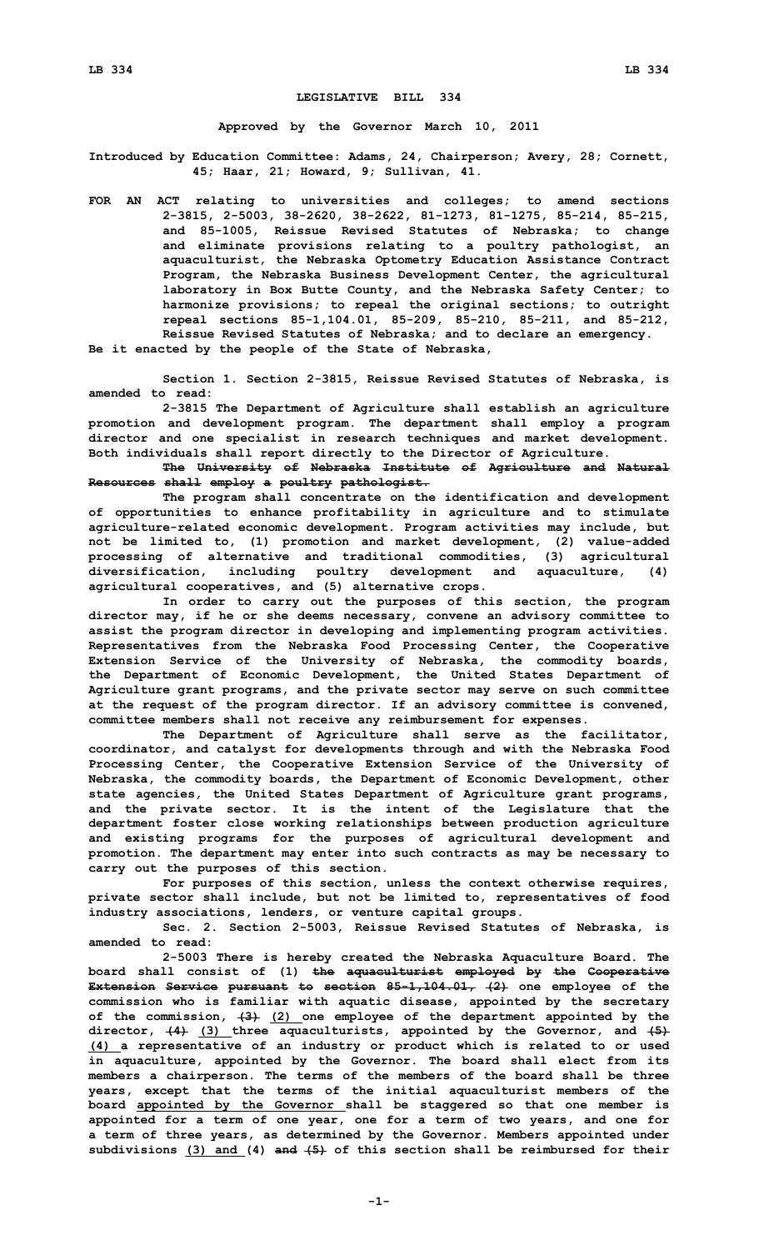## **LEGISLATIVE BILL 334**

**Approved by the Governor March 10, 2011**

**Introduced by Education Committee: Adams, 24, Chairperson; Avery, 28; Cornett, 45; Haar, 21; Howard, 9; Sullivan, 41.**

**FOR AN ACT relating to universities and colleges; to amend sections 2-3815, 2-5003, 38-2620, 38-2622, 81-1273, 81-1275, 85-214, 85-215, and 85-1005, Reissue Revised Statutes of Nebraska; to change and eliminate provisions relating to <sup>a</sup> poultry pathologist, an aquaculturist, the Nebraska Optometry Education Assistance Contract Program, the Nebraska Business Development Center, the agricultural laboratory in Box Butte County, and the Nebraska Safety Center; to harmonize provisions; to repeal the original sections; to outright repeal sections 85-1,104.01, 85-209, 85-210, 85-211, and 85-212, Reissue Revised Statutes of Nebraska; and to declare an emergency. Be it enacted by the people of the State of Nebraska,**

**Section 1. Section 2-3815, Reissue Revised Statutes of Nebraska, is amended to read:**

**2-3815 The Department of Agriculture shall establish an agriculture promotion and development program. The department shall employ <sup>a</sup> program director and one specialist in research techniques and market development. Both individuals shall report directly to the Director of Agriculture.**

**The University of Nebraska Institute of Agriculture and Natural Resources shall employ <sup>a</sup> poultry pathologist.**

**The program shall concentrate on the identification and development of opportunities to enhance profitability in agriculture and to stimulate agriculture-related economic development. Program activities may include, but not be limited to, (1) promotion and market development, (2) value-added processing of alternative and traditional commodities, (3) agricultural diversification, including poultry development and aquaculture, (4) agricultural cooperatives, and (5) alternative crops.**

**In order to carry out the purposes of this section, the program director may, if he or she deems necessary, convene an advisory committee to assist the program director in developing and implementing program activities. Representatives from the Nebraska Food Processing Center, the Cooperative Extension Service of the University of Nebraska, the commodity boards, the Department of Economic Development, the United States Department of Agriculture grant programs, and the private sector may serve on such committee at the request of the program director. If an advisory committee is convened, committee members shall not receive any reimbursement for expenses.**

**The Department of Agriculture shall serve as the facilitator, coordinator, and catalyst for developments through and with the Nebraska Food Processing Center, the Cooperative Extension Service of the University of Nebraska, the commodity boards, the Department of Economic Development, other state agencies, the United States Department of Agriculture grant programs, and the private sector. It is the intent of the Legislature that the department foster close working relationships between production agriculture and existing programs for the purposes of agricultural development and promotion. The department may enter into such contracts as may be necessary to carry out the purposes of this section.**

**For purposes of this section, unless the context otherwise requires, private sector shall include, but not be limited to, representatives of food industry associations, lenders, or venture capital groups.**

**Sec. 2. Section 2-5003, Reissue Revised Statutes of Nebraska, is amended to read:**

**2-5003 There is hereby created the Nebraska Aquaculture Board. The board shall consist of (1) the aquaculturist employed by the Cooperative Extension Service pursuant to section 85-1,104.01, (2) one employee of the commission who is familiar with aquatic disease, appointed by the secretary of the commission, (3) (2) one employee of the department appointed by the director, (4) (3) three aquaculturists, appointed by the Governor, and (5) (4) <sup>a</sup> representative of an industry or product which is related to or used in aquaculture, appointed by the Governor. The board shall elect from its members <sup>a</sup> chairperson. The terms of the members of the board shall be three years, except that the terms of the initial aquaculturist members of the board appointed by the Governor shall be staggered so that one member is appointed for <sup>a</sup> term of one year, one for <sup>a</sup> term of two years, and one for <sup>a</sup> term of three years, as determined by the Governor. Members appointed under subdivisions (3) and (4) and (5) of this section shall be reimbursed for their**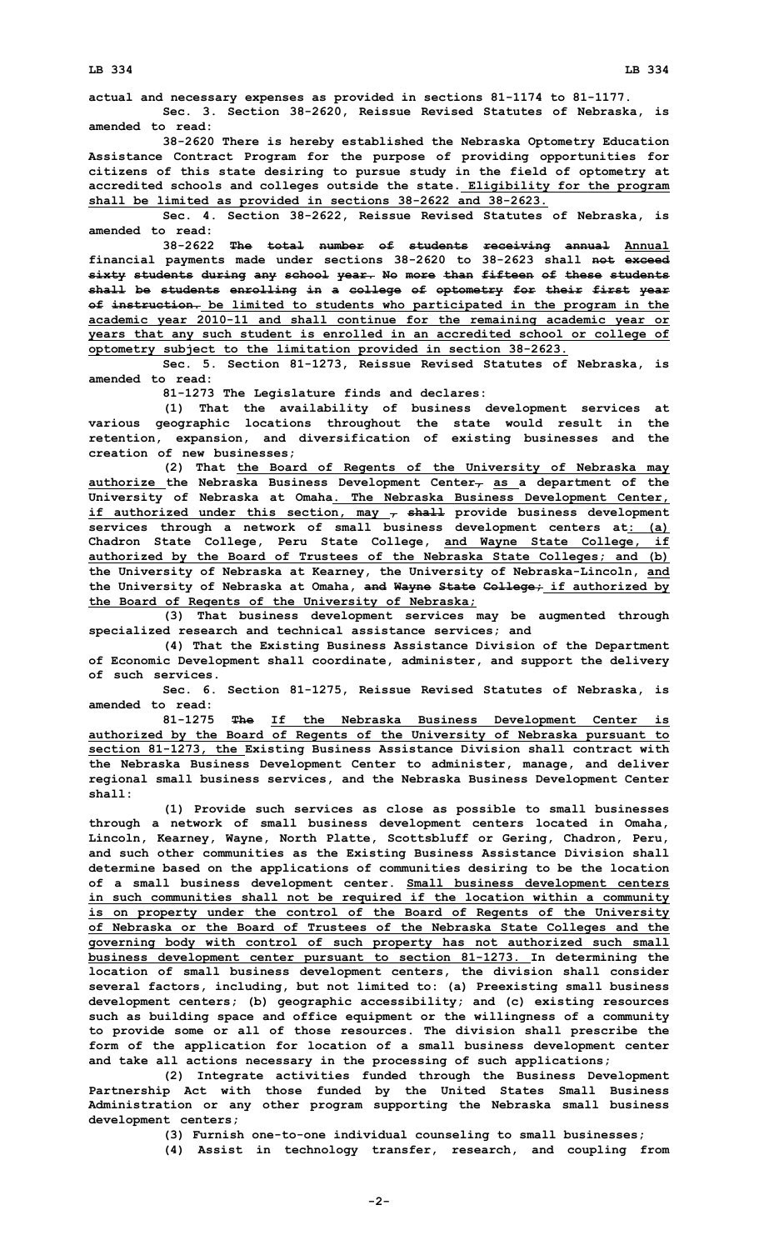**actual and necessary expenses as provided in sections 81-1174 to 81-1177.**

**Sec. 3. Section 38-2620, Reissue Revised Statutes of Nebraska, is amended to read:**

**38-2620 There is hereby established the Nebraska Optometry Education Assistance Contract Program for the purpose of providing opportunities for citizens of this state desiring to pursue study in the field of optometry at accredited schools and colleges outside the state. Eligibility for the program shall be limited as provided in sections 38-2622 and 38-2623.**

**Sec. 4. Section 38-2622, Reissue Revised Statutes of Nebraska, is amended to read:**

**38-2622 The total number of students receiving annual Annual financial payments made under sections 38-2620 to 38-2623 shall not exceed sixty students during any school year. No more than fifteen of these students shall be students enrolling in <sup>a</sup> college of optometry for their first year of instruction. be limited to students who participated in the program in the academic year 2010-11 and shall continue for the remaining academic year or years that any such student is enrolled in an accredited school or college of optometry subject to the limitation provided in section 38-2623.**

**Sec. 5. Section 81-1273, Reissue Revised Statutes of Nebraska, is amended to read:**

**81-1273 The Legislature finds and declares:**

**(1) That the availability of business development services at various geographic locations throughout the state would result in the retention, expansion, and diversification of existing businesses and the creation of new businesses;**

**(2) That the Board of Regents of the University of Nebraska may authorize the Nebraska Business Development Center, as <sup>a</sup> department of the University of Nebraska at Omaha. The Nebraska Business Development Center, if authorized under this section, may , shall provide business development services through <sup>a</sup> network of small business development centers at: (a) Chadron State College, Peru State College, and Wayne State College, if authorized by the Board of Trustees of the Nebraska State Colleges; and (b) the University of Nebraska at Kearney, the University of Nebraska-Lincoln, and the University of Nebraska at Omaha, and Wayne State College; if authorized by the Board of Regents of the University of Nebraska;**

**(3) That business development services may be augmented through specialized research and technical assistance services; and**

**(4) That the Existing Business Assistance Division of the Department of Economic Development shall coordinate, administer, and support the delivery of such services.**

**Sec. 6. Section 81-1275, Reissue Revised Statutes of Nebraska, is amended to read:**

**81-1275 The If the Nebraska Business Development Center is authorized by the Board of Regents of the University of Nebraska pursuant to section 81-1273, the Existing Business Assistance Division shall contract with the Nebraska Business Development Center to administer, manage, and deliver regional small business services, and the Nebraska Business Development Center shall:**

**(1) Provide such services as close as possible to small businesses through <sup>a</sup> network of small business development centers located in Omaha, Lincoln, Kearney, Wayne, North Platte, Scottsbluff or Gering, Chadron, Peru, and such other communities as the Existing Business Assistance Division shall determine based on the applications of communities desiring to be the location of <sup>a</sup> small business development center. Small business development centers in such communities shall not be required if the location within <sup>a</sup> community is on property under the control of the Board of Regents of the University of Nebraska or the Board of Trustees of the Nebraska State Colleges and the governing body with control of such property has not authorized such small business development center pursuant to section 81-1273. In determining the location of small business development centers, the division shall consider several factors, including, but not limited to: (a) Preexisting small business development centers; (b) geographic accessibility; and (c) existing resources such as building space and office equipment or the willingness of <sup>a</sup> community to provide some or all of those resources. The division shall prescribe the form of the application for location of <sup>a</sup> small business development center and take all actions necessary in the processing of such applications;**

**(2) Integrate activities funded through the Business Development Partnership Act with those funded by the United States Small Business Administration or any other program supporting the Nebraska small business development centers;**

**(3) Furnish one-to-one individual counseling to small businesses;**

**(4) Assist in technology transfer, research, and coupling from**